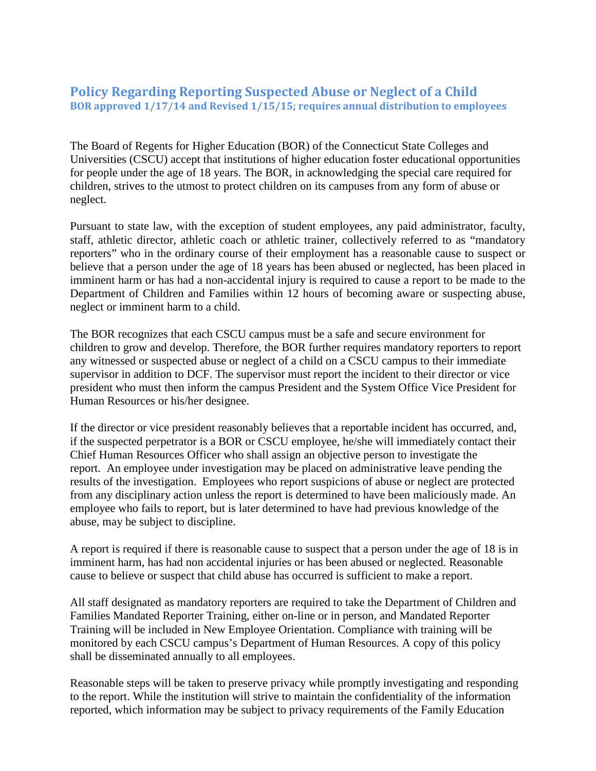## **Policy Regarding Reporting Suspected Abuse or Neglect of a Child BOR approved 1/17/14 and Revised 1/15/15; requires annual distribution to employees**

The Board of Regents for Higher Education (BOR) of the Connecticut State Colleges and Universities (CSCU) accept that institutions of higher education foster educational opportunities for people under the age of 18 years. The BOR, in acknowledging the special care required for children, strives to the utmost to protect children on its campuses from any form of abuse or neglect.

Pursuant to state law, with the exception of student employees, any paid administrator, faculty, staff, athletic director, athletic coach or athletic trainer, collectively referred to as "mandatory reporters" who in the ordinary course of their employment has a reasonable cause to suspect or believe that a person under the age of 18 years has been abused or neglected, has been placed in imminent harm or has had a non-accidental injury is required to cause a report to be made to the Department of Children and Families within 12 hours of becoming aware or suspecting abuse, neglect or imminent harm to a child.

The BOR recognizes that each CSCU campus must be a safe and secure environment for children to grow and develop. Therefore, the BOR further requires mandatory reporters to report any witnessed or suspected abuse or neglect of a child on a CSCU campus to their immediate supervisor in addition to DCF. The supervisor must report the incident to their director or vice president who must then inform the campus President and the System Office Vice President for Human Resources or his/her designee.

If the director or vice president reasonably believes that a reportable incident has occurred, and, if the suspected perpetrator is a BOR or CSCU employee, he/she will immediately contact their Chief Human Resources Officer who shall assign an objective person to investigate the report. An employee under investigation may be placed on administrative leave pending the results of the investigation. Employees who report suspicions of abuse or neglect are protected from any disciplinary action unless the report is determined to have been maliciously made. An employee who fails to report, but is later determined to have had previous knowledge of the abuse, may be subject to discipline.

A report is required if there is reasonable cause to suspect that a person under the age of 18 is in imminent harm, has had non accidental injuries or has been abused or neglected. Reasonable cause to believe or suspect that child abuse has occurred is sufficient to make a report.

All staff designated as mandatory reporters are required to take the Department of Children and Families Mandated Reporter Training, either on-line or in person, and Mandated Reporter Training will be included in New Employee Orientation. Compliance with training will be monitored by each CSCU campus's Department of Human Resources. A copy of this policy shall be disseminated annually to all employees.

Reasonable steps will be taken to preserve privacy while promptly investigating and responding to the report. While the institution will strive to maintain the confidentiality of the information reported, which information may be subject to privacy requirements of the Family Education